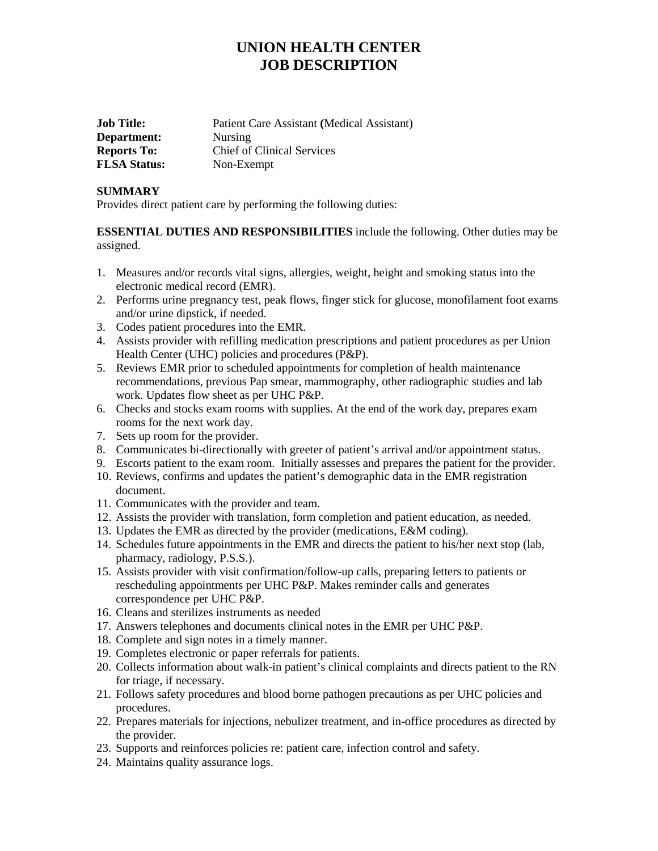## **UNION HEALTH CENTER JOB DESCRIPTION**

| <b>Job Title:</b>   | Patient Care Assistant (Medical Assistant) |
|---------------------|--------------------------------------------|
| Department:         | <b>Nursing</b>                             |
| <b>Reports To:</b>  | <b>Chief of Clinical Services</b>          |
| <b>FLSA Status:</b> | Non-Exempt                                 |

#### **SUMMARY**

Provides direct patient care by performing the following duties:

**ESSENTIAL DUTIES AND RESPONSIBILITIES** include the following. Other duties may be assigned.

- 1. Measures and/or records vital signs, allergies, weight, height and smoking status into the electronic medical record (EMR).
- 2. Performs urine pregnancy test, peak flows, finger stick for glucose, monofilament foot exams and/or urine dipstick, if needed.
- 3. Codes patient procedures into the EMR.
- 4. Assists provider with refilling medication prescriptions and patient procedures as per Union Health Center (UHC) policies and procedures (P&P).
- 5. Reviews EMR prior to scheduled appointments for completion of health maintenance recommendations, previous Pap smear, mammography, other radiographic studies and lab work. Updates flow sheet as per UHC P&P.
- 6. Checks and stocks exam rooms with supplies. At the end of the work day, prepares exam rooms for the next work day.
- 7. Sets up room for the provider.
- 8. Communicates bi-directionally with greeter of patient's arrival and/or appointment status.
- 9. Escorts patient to the exam room. Initially assesses and prepares the patient for the provider.
- 10. Reviews, confirms and updates the patient's demographic data in the EMR registration document.
- 11. Communicates with the provider and team.
- 12. Assists the provider with translation, form completion and patient education, as needed.
- 13. Updates the EMR as directed by the provider (medications, E&M coding).
- 14. Schedules future appointments in the EMR and directs the patient to his/her next stop (lab, pharmacy, radiology, P.S.S.).
- 15. Assists provider with visit confirmation/follow-up calls, preparing letters to patients or rescheduling appointments per UHC P&P. Makes reminder calls and generates correspondence per UHC P&P.
- 16. Cleans and sterilizes instruments as needed
- 17. Answers telephones and documents clinical notes in the EMR per UHC P&P.
- 18. Complete and sign notes in a timely manner.
- 19. Completes electronic or paper referrals for patients.
- 20. Collects information about walk-in patient's clinical complaints and directs patient to the RN for triage, if necessary.
- 21. Follows safety procedures and blood borne pathogen precautions as per UHC policies and procedures.
- 22. Prepares materials for injections, nebulizer treatment, and in-office procedures as directed by the provider.
- 23. Supports and reinforces policies re: patient care, infection control and safety.
- 24. Maintains quality assurance logs.